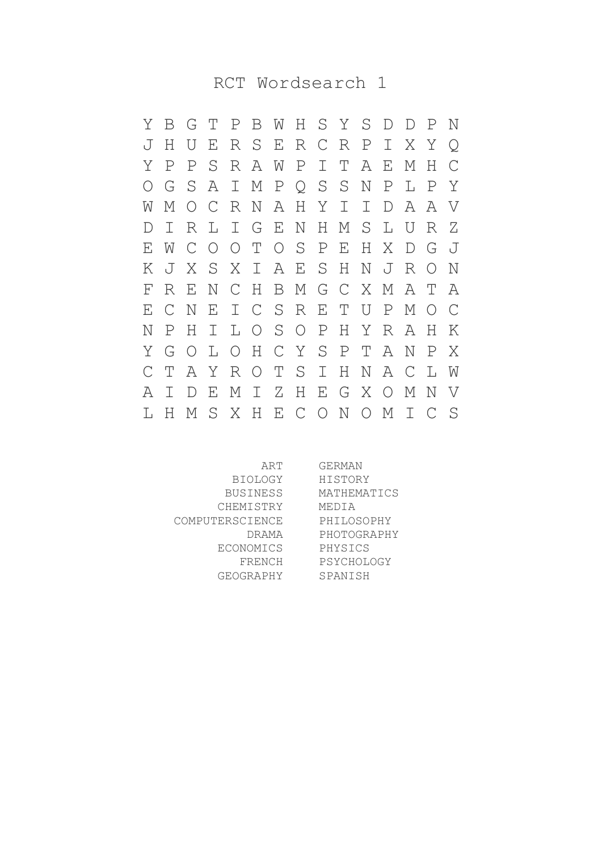RCT Wordsearch 1

Y B G T P B W H S Y S D D P N J H U E R S E R C R P I X Y Q Y P P S R A W P I T A E M H C O G S A I M P Q S S N P L P Y W M O C R N A H Y I I D A A V D I R L I G E N H M S L U R Z E W C O O T O S P E H X D G J K J X S X I A E S H N J R O N F R E N C H B M G C X M A T A E C N E I C S R E T U P M O C N P H I L O S O P H Y R A H K Y G O L O H C Y S P T A N P X C T A Y R O T S I H N A C L W A I D E M I Z H E G X O M N V L H M S X H E C O N O M I C S

ART BIOLOGY BUSINESS CHEMISTRY COMPUTERSCIENCE DRAMA ECONOMICS FRENCH GEOGRAPHY GERMAN HISTORY MATHEMATICS MEDIA PHILOSOPHY PHOTOGRAPHY PHYSICS **PSYCHOLOGY** SPANISH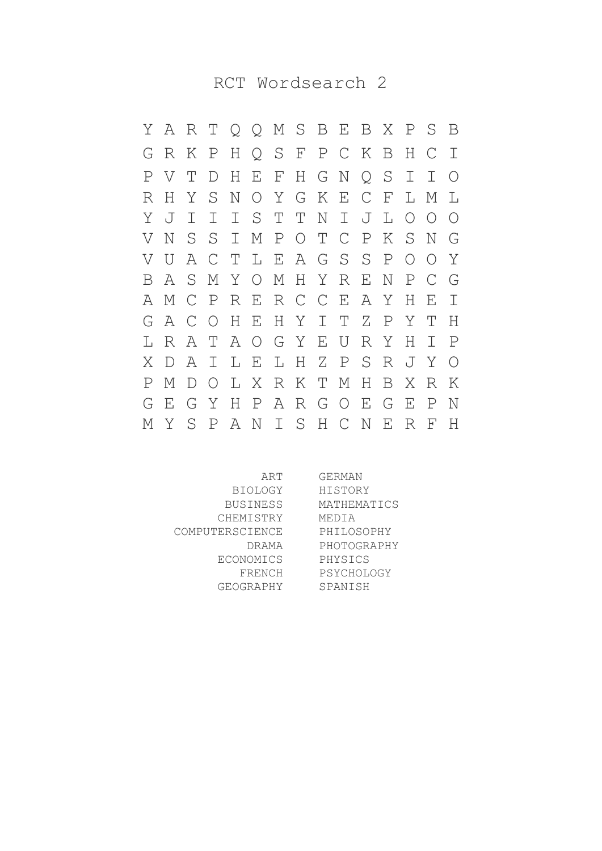RCT Wordsearch 2

Y A R T Q Q M S B E B X P S B G R K P H Q S F P C K B H C I P V T D H E F H G N Q S I I O R H Y S N O Y G K E C F L M L Y J I I I S T T N I J L O O O V N S S I M P O T C P K S N G V U A C T L E A G S S P O O Y B A S M Y O M H Y R E N P C G A M C P R E R C C E A Y H E I G A C O H E H Y I T Z P Y T H L R A T A O G Y E U R Y H I P X D A I L E L H Z P S R J Y O P M D O L X R K T M H B X R K G E G Y H P A R G O E G E P N M Y S P A N I S H C N E R F H

ART BIOLOGY BUSINESS CHEMISTRY COMPUTERSCIENCE DRAMA ECONOMICS FRENCH GEOGRAPHY GERMAN HISTORY MATHEMATICS MEDIA PHILOSOPHY PHOTOGRAPHY PHYSICS PSYCHOLOGY SPANISH